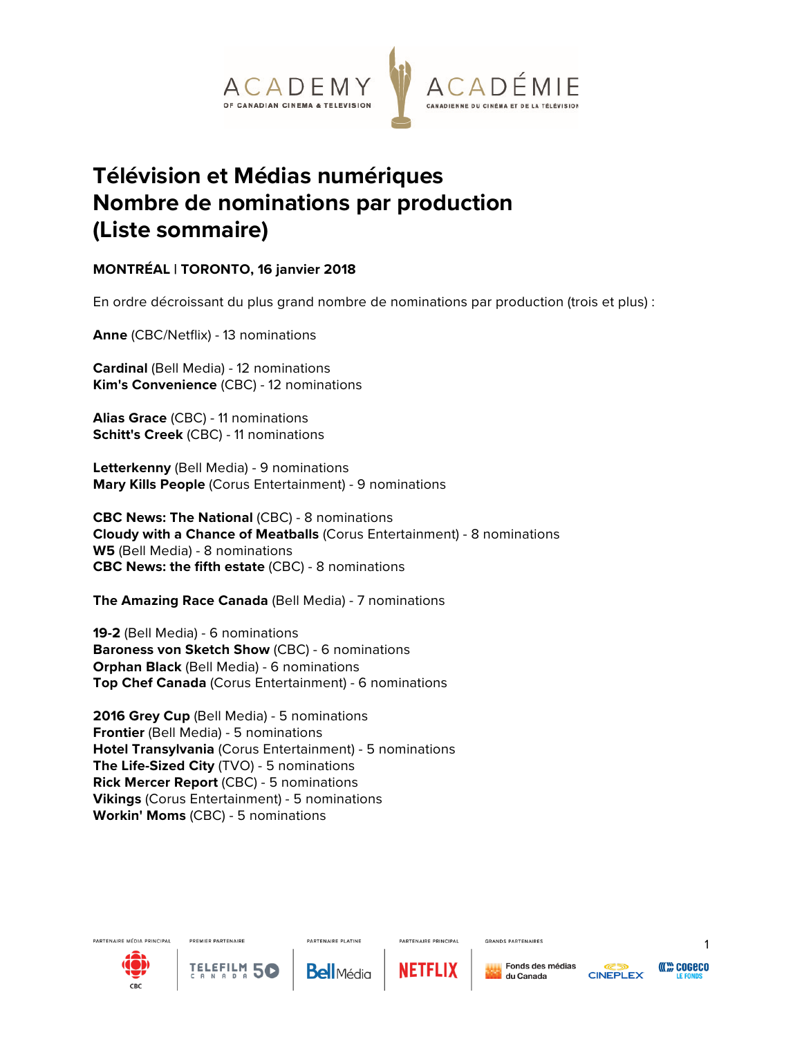

## **Télévision et Médias numériques Nombre de nominations par production (Liste sommaire)**

## **MONTRÉAL | TORONTO, 16 janvier 2018**

En ordre décroissant du plus grand nombre de nominations par production (trois et plus) :

**Anne** (CBC/Netflix) - 13 nominations

**Cardinal** (Bell Media) - 12 nominations **Kim's Convenience** (CBC) - 12 nominations

**Alias Grace** (CBC) - 11 nominations **Schitt's Creek** (CBC) - 11 nominations

**Letterkenny** (Bell Media) - 9 nominations **Mary Kills People** (Corus Entertainment) - 9 nominations

**CBC News: The National** (CBC) - 8 nominations **Cloudy with a Chance of Meatballs** (Corus Entertainment) - 8 nominations **W5** (Bell Media) - 8 nominations **CBC News: the fifth estate** (CBC) - 8 nominations

**The Amazing Race Canada** (Bell Media) - 7 nominations

**19-2** (Bell Media) - 6 nominations **Baroness von Sketch Show** (CBC) - 6 nominations **Orphan Black** (Bell Media) - 6 nominations **Top Chef Canada** (Corus Entertainment) - 6 nominations

**2016 Grey Cup** (Bell Media) - 5 nominations **Frontier** (Bell Media) - 5 nominations **Hotel Transylvania** (Corus Entertainment) - 5 nominations **The Life-Sized City** (TVO) - 5 nominations **Rick Mercer Report** (CBC) - 5 nominations **Vikings** (Corus Entertainment) - 5 nominations **Workin' Moms** (CBC) - 5 nominations





**TELEFILM** 

**PARTENAIRE PLATINE Bell**Média



PARTENAIRE PRINCIPAL



**GRANDS PARTENAIRES** 

Fonds des médias





1